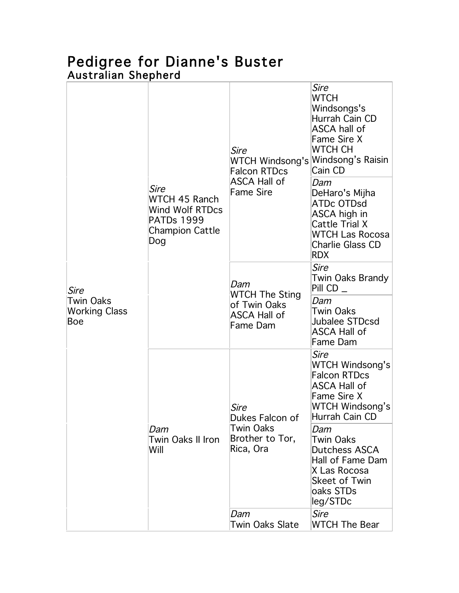## Pedigree for Dianne's Buster Australian Shepherd

| Sire<br><b>Twin Oaks</b><br><b>Working Class</b><br>Boe | Sire<br>WTCH 45 Ranch<br>Wind Wolf RTDcs<br><b>PATDs 1999</b><br><b>Champion Cattle</b><br>Dog | Sire<br>WTCH Windsong's Windsong's Raisin<br><b>Falcon RTDcs</b><br><b>ASCA Hall of</b><br><b>Fame Sire</b>  | <i>Sire</i><br><b>WTCH</b><br>Windsongs's<br>Hurrah Cain CD<br><b>ASCA hall of</b><br>Fame Sire X<br>WTCH CH<br>Cain CD                                                      |
|---------------------------------------------------------|------------------------------------------------------------------------------------------------|--------------------------------------------------------------------------------------------------------------|------------------------------------------------------------------------------------------------------------------------------------------------------------------------------|
|                                                         |                                                                                                |                                                                                                              | Dam<br>DeHaro's Mijha<br><b>ATDc OTDsd</b><br>ASCA high in<br><b>Cattle Trial X</b><br><b>WTCH Las Rocosa</b><br>Charlie Glass CD<br><b>RDX</b>                              |
|                                                         |                                                                                                | Dam<br><b>WTCH The Sting</b><br>of Twin Oaks<br><b>ASCA Hall of</b><br><b>Fame Dam</b>                       | <i>Sire</i><br>Twin Oaks Brandy<br>Pill CD _<br>Dam<br>Twin Oaks<br>Jubalee STDcsd<br><b>ASCA Hall of</b><br>Fame Dam                                                        |
|                                                         | Dam<br>Twin Oaks II Iron<br>Will                                                               | <i>Sire</i><br>Dukes Falcon of<br>Twin Oaks<br>Brother to Tor,<br>Rica, Ora<br>Dam<br><b>Twin Oaks Slate</b> | Sire<br><b>WTCH Windsong's</b><br><b>Falcon RTDcs</b><br><b>ASCA Hall of</b><br><b>Fame Sire X</b><br>WTCH Windsong's<br>Hurrah Cain CD<br>Dam<br>Twin Oaks<br>Dutchess ASCA |
|                                                         |                                                                                                |                                                                                                              | Hall of Fame Dam<br>X Las Rocosa<br><b>Skeet of Twin</b><br>oaks STDs<br>leg/STDc<br>Sire<br><b>WTCH The Bear</b>                                                            |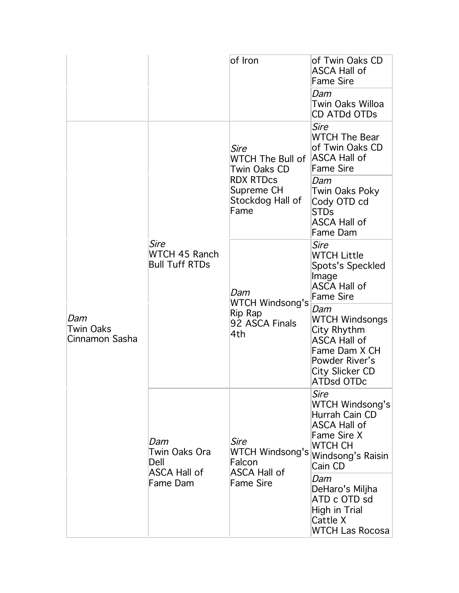|                                    |                                                                 | of Iron                                                                                                | lof Twin Oaks CD<br><b>ASCA Hall of</b><br><b>Fame Sire</b><br>Dam<br>Twin Oaks Willoa<br><b>CD ATDd OTDs</b>                                        |
|------------------------------------|-----------------------------------------------------------------|--------------------------------------------------------------------------------------------------------|------------------------------------------------------------------------------------------------------------------------------------------------------|
| Dam<br>Twin Oaks<br>Cinnamon Sasha | Sire<br>WTCH 45 Ranch<br><b>Bull Tuff RTDs</b>                  | Sire<br>WTCH The Bull of<br>Twin Oaks CD<br><b>RDX RTDcs</b><br>Supreme CH<br>Stockdog Hall of<br>Fame | <i>Sire</i><br><b>WTCH The Bear</b><br>of Twin Oaks CD<br>ASCA Hall of<br><b>Fame Sire</b><br>Dam                                                    |
|                                    |                                                                 |                                                                                                        | Twin Oaks Poky<br>Cody OTD cd<br>STDs<br><b>ASCA Hall of</b><br>Fame Dam                                                                             |
|                                    |                                                                 | Dam<br><b>WTCH Windsong's</b><br>Rip Rap<br>92 ASCA Finals<br>4th                                      | Sire<br><b>WTCH Little</b><br>Spots's Speckled<br>Image<br><b>ASCA Hall of</b><br><b>Fame Sire</b>                                                   |
|                                    |                                                                 |                                                                                                        | Dam<br><b>WTCH Windsongs</b><br>City Rhythm<br><b>ASCA Hall of</b><br>Fame Dam X CH<br>Powder River's<br><b>City Slicker CD</b><br><b>ATDsd OTDc</b> |
|                                    | Dam<br>Twin Oaks Ora<br>Dell<br><b>ASCA Hall of</b><br>Fame Dam | Sire<br>WTCH Windsong's<br>Falcon<br><b>ASCA Hall of</b><br><b>Fame Sire</b>                           | Sire<br><b>WTCH Windsong's</b><br>Hurrah Cain CD<br><b>ASCA Hall of</b><br><b>Fame Sire X</b><br><b>WTCH CH</b><br>Windsong's Raisin<br>Cain CD      |
|                                    |                                                                 |                                                                                                        | Dam<br>DeHaro's Miljha<br>ATD c OTD sd<br><b>High in Trial</b><br>Cattle X<br><b>WTCH Las Rocosa</b>                                                 |